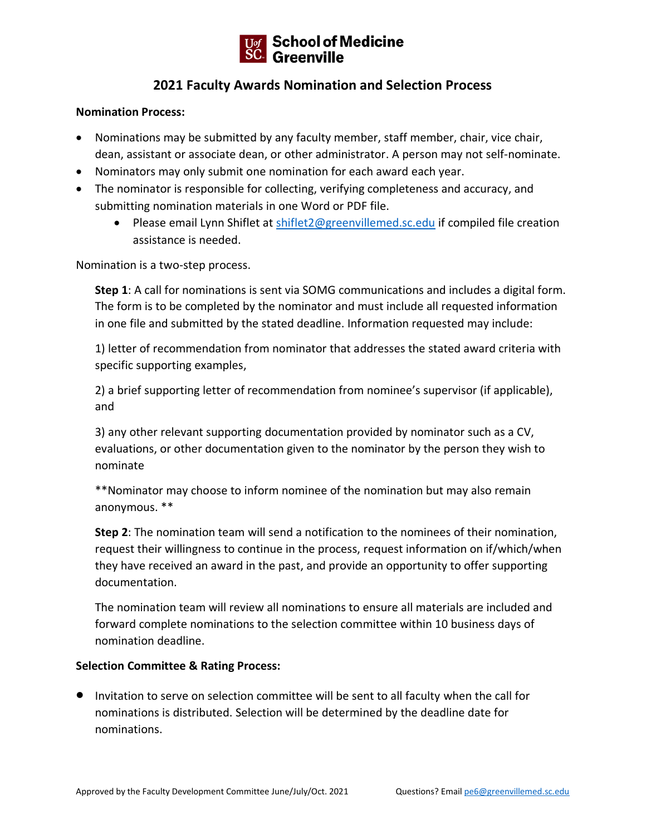

## **2021 Faculty Awards Nomination and Selection Process**

## **Nomination Process:**

- Nominations may be submitted by any faculty member, staff member, chair, vice chair, dean, assistant or associate dean, or other administrator. A person may not self-nominate.
- Nominators may only submit one nomination for each award each year.
- The nominator is responsible for collecting, verifying completeness and accuracy, and submitting nomination materials in one Word or PDF file.
	- Please email Lynn Shiflet at [shiflet2@greenvillemed.sc.edu](mailto:shiflet2@greenvillemed.sc.edu) if compiled file creation assistance is needed.

Nomination is a two-step process.

**Step 1**: A call for nominations is sent via SOMG communications and includes a digital form. The form is to be completed by the nominator and must include all requested information in one file and submitted by the stated deadline. Information requested may include:

1) letter of recommendation from nominator that addresses the stated award criteria with specific supporting examples,

2) a brief supporting letter of recommendation from nominee's supervisor (if applicable), and

3) any other relevant supporting documentation provided by nominator such as a CV, evaluations, or other documentation given to the nominator by the person they wish to nominate

\*\*Nominator may choose to inform nominee of the nomination but may also remain anonymous. \*\*

**Step 2**: The nomination team will send a notification to the nominees of their nomination, request their willingness to continue in the process, request information on if/which/when they have received an award in the past, and provide an opportunity to offer supporting documentation.

The nomination team will review all nominations to ensure all materials are included and forward complete nominations to the selection committee within 10 business days of nomination deadline.

## **Selection Committee & Rating Process:**

• Invitation to serve on selection committee will be sent to all faculty when the call for nominations is distributed. Selection will be determined by the deadline date for nominations.